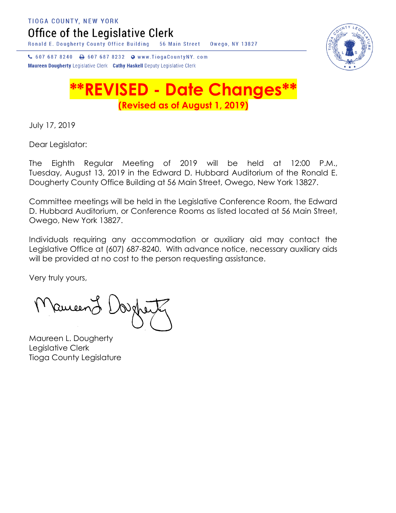**TIOGA COUNTY, NEW YORK** 

Office of the Legislative Clerk

Ronald E. Dougherty County Office Building 56 Main Street Owego, NY 13827



↓ 607 687 8240 → 607 687 8232 → www.TiogaCountyNY.com Maureen Dougherty Legislative Clerk Cathy Haskell Deputy Legislative Clerk

## **\*\*REVISED - Date Changes\*\* (Revised as of August 1, 2019)**

July 17, 2019

Dear Legislator:

The Eighth Regular Meeting of 2019 will be held at 12:00 P.M., Tuesday, August 13, 2019 in the Edward D. Hubbard Auditorium of the Ronald E. Dougherty County Office Building at 56 Main Street, Owego, New York 13827.

Committee meetings will be held in the Legislative Conference Room, the Edward D. Hubbard Auditorium, or Conference Rooms as listed located at 56 Main Street, Owego, New York 13827.

Individuals requiring any accommodation or auxiliary aid may contact the Legislative Office at (607) 687-8240. With advance notice, necessary auxiliary aids will be provided at no cost to the person requesting assistance.

Very truly yours,

Ruisend

Maureen L. Dougherty Legislative Clerk Tioga County Legislature